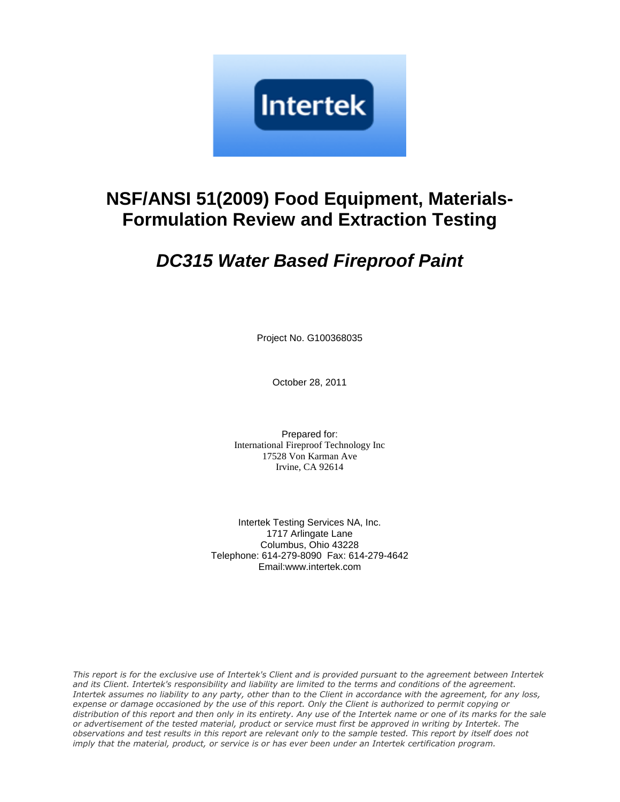

## **NSF/ANSI 51(2009) Food Equipment, Materials-Formulation Review and Extraction Testing**

# **DC315 Water Based Fireproof Paint**

Project No. G100368035

October 28, 2011

Prepared for: International Fireproof Technology Inc 17528 Von Karman Ave Irvine, CA 92614

Intertek Testing Services NA, Inc. 1717 Arlingate Lane Columbus, Ohio 43228 Telephone: 614-279-8090 Fax: 614-279-4642 Email:www.intertek.com

This report is for the exclusive use of Intertek's Client and is provided pursuant to the agreement between Intertek and its Client. Intertek's responsibility and liability are limited to the terms and conditions of the agreement. Intertek assumes no liability to any party, other than to the Client in accordance with the agreement, for any loss, expense or damage occasioned by the use of this report. Only the Client is authorized to permit copying or distribution of this report and then only in its entirety. Any use of the Intertek name or one of its marks for the sale or advertisement of the tested material, product or service must first be approved in writing by Intertek. The observations and test results in this report are relevant only to the sample tested. This report by itself does not imply that the material, product, or service is or has ever been under an Intertek certification program.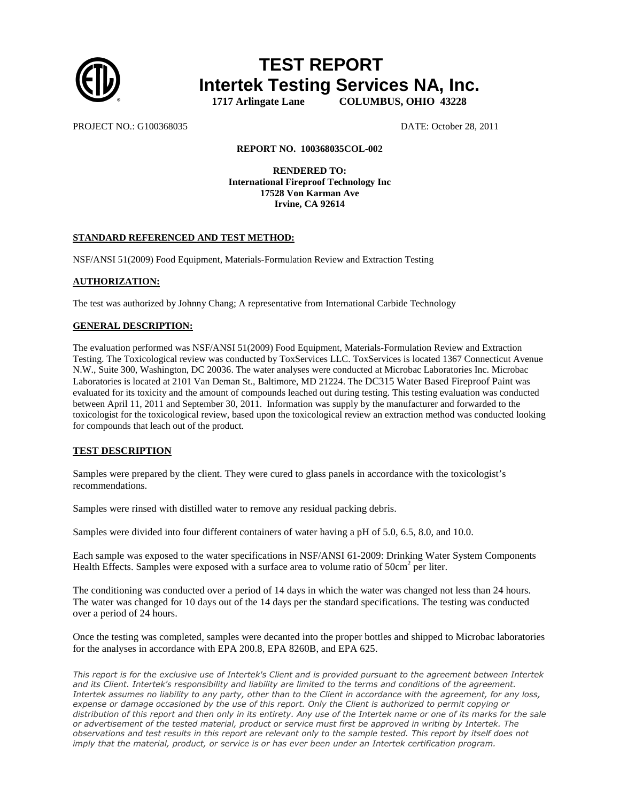

### **TEST REPORT Intertek Testing Services NA, Inc. 1717 Arlingate Lane COLUMBUS, OHIO 43228**

PROJECT NO.: G100368035 DATE: October 28, 2011

#### **REPORT NO. 100368035COL-002**

**RENDERED TO: International Fireproof Technology Inc 17528 Von Karman Ave Irvine, CA 92614** 

#### **STANDARD REFERENCED AND TEST METHOD:**

NSF/ANSI 51(2009) Food Equipment, Materials-Formulation Review and Extraction Testing

#### **AUTHORIZATION:**

The test was authorized by Johnny Chang; A representative from International Carbide Technology

#### **GENERAL DESCRIPTION:**

The evaluation performed was NSF/ANSI 51(2009) Food Equipment, Materials-Formulation Review and Extraction Testing. The Toxicological review was conducted by ToxServices LLC. ToxServices is located 1367 Connecticut Avenue N.W., Suite 300, Washington, DC 20036. The water analyses were conducted at Microbac Laboratories Inc. Microbac Laboratories is located at 2101 Van Deman St., Baltimore, MD 21224. The DC315 Water Based Fireproof Paint was evaluated for its toxicity and the amount of compounds leached out during testing. This testing evaluation was conducted between April 11, 2011 and September 30, 2011. Information was supply by the manufacturer and forwarded to the toxicologist for the toxicological review, based upon the toxicological review an extraction method was conducted looking for compounds that leach out of the product.

#### **TEST DESCRIPTION**

Samples were prepared by the client. They were cured to glass panels in accordance with the toxicologist's recommendations.

Samples were rinsed with distilled water to remove any residual packing debris.

Samples were divided into four different containers of water having a pH of 5.0, 6.5, 8.0, and 10.0.

Each sample was exposed to the water specifications in NSF/ANSI 61-2009: Drinking Water System Components Health Effects. Samples were exposed with a surface area to volume ratio of  $50 \text{cm}^2$  per liter.

The conditioning was conducted over a period of 14 days in which the water was changed not less than 24 hours. The water was changed for 10 days out of the 14 days per the standard specifications. The testing was conducted over a period of 24 hours.

Once the testing was completed, samples were decanted into the proper bottles and shipped to Microbac laboratories for the analyses in accordance with EPA 200.8, EPA 8260B, and EPA 625.

This report is for the exclusive use of Intertek's Client and is provided pursuant to the agreement between Intertek and its Client. Intertek's responsibility and liability are limited to the terms and conditions of the agreement. Intertek assumes no liability to any party, other than to the Client in accordance with the agreement, for any loss, expense or damage occasioned by the use of this report. Only the Client is authorized to permit copying or distribution of this report and then only in its entirety. Any use of the Intertek name or one of its marks for the sale or advertisement of the tested material, product or service must first be approved in writing by Intertek. The observations and test results in this report are relevant only to the sample tested. This report by itself does not imply that the material, product, or service is or has ever been under an Intertek certification program.